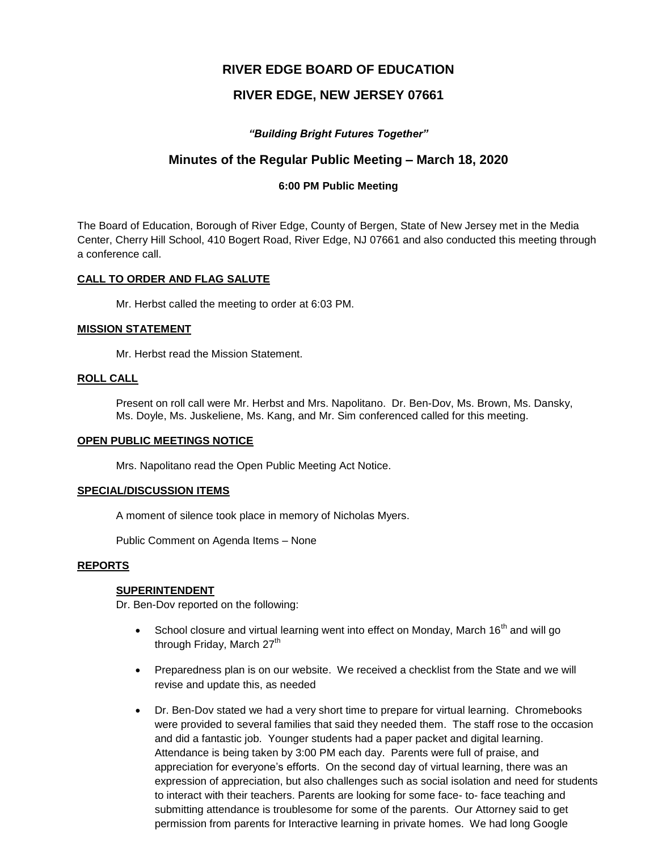# **RIVER EDGE BOARD OF EDUCATION**

# **RIVER EDGE, NEW JERSEY 07661**

# *"Building Bright Futures Together"*

# **Minutes of the Regular Public Meeting – March 18, 2020**

# **6:00 PM Public Meeting**

The Board of Education, Borough of River Edge, County of Bergen, State of New Jersey met in the Media Center, Cherry Hill School, 410 Bogert Road, River Edge, NJ 07661 and also conducted this meeting through a conference call.

## **CALL TO ORDER AND FLAG SALUTE**

Mr. Herbst called the meeting to order at 6:03 PM.

## **MISSION STATEMENT**

Mr. Herbst read the Mission Statement.

## **ROLL CALL**

Present on roll call were Mr. Herbst and Mrs. Napolitano. Dr. Ben-Dov, Ms. Brown, Ms. Dansky, Ms. Doyle, Ms. Juskeliene, Ms. Kang, and Mr. Sim conferenced called for this meeting.

### **OPEN PUBLIC MEETINGS NOTICE**

Mrs. Napolitano read the Open Public Meeting Act Notice.

### **SPECIAL/DISCUSSION ITEMS**

A moment of silence took place in memory of Nicholas Myers.

Public Comment on Agenda Items – None

### **REPORTS**

# **SUPERINTENDENT**

Dr. Ben-Dov reported on the following:

- School closure and virtual learning went into effect on Monday, March  $16<sup>th</sup>$  and will go through Friday, March  $27<sup>th</sup>$
- Preparedness plan is on our website. We received a checklist from the State and we will revise and update this, as needed
- Dr. Ben-Dov stated we had a very short time to prepare for virtual learning. Chromebooks were provided to several families that said they needed them. The staff rose to the occasion and did a fantastic job. Younger students had a paper packet and digital learning. Attendance is being taken by 3:00 PM each day. Parents were full of praise, and appreciation for everyone's efforts. On the second day of virtual learning, there was an expression of appreciation, but also challenges such as social isolation and need for students to interact with their teachers. Parents are looking for some face- to- face teaching and submitting attendance is troublesome for some of the parents. Our Attorney said to get permission from parents for Interactive learning in private homes. We had long Google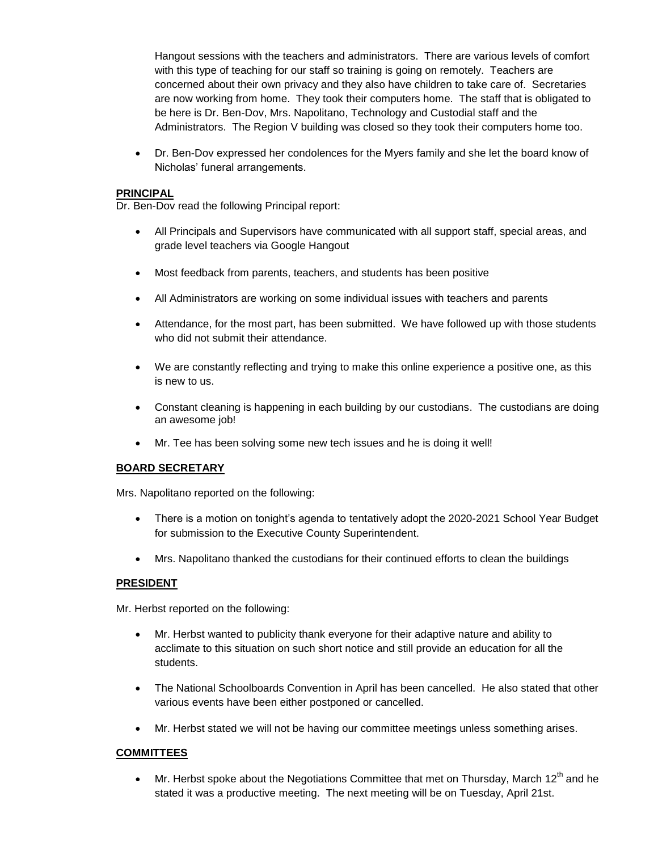Hangout sessions with the teachers and administrators. There are various levels of comfort with this type of teaching for our staff so training is going on remotely. Teachers are concerned about their own privacy and they also have children to take care of. Secretaries are now working from home. They took their computers home. The staff that is obligated to be here is Dr. Ben-Dov, Mrs. Napolitano, Technology and Custodial staff and the Administrators. The Region V building was closed so they took their computers home too.

 Dr. Ben-Dov expressed her condolences for the Myers family and she let the board know of Nicholas' funeral arrangements.

### **PRINCIPAL**

Dr. Ben-Dov read the following Principal report:

- All Principals and Supervisors have communicated with all support staff, special areas, and grade level teachers via Google Hangout
- Most feedback from parents, teachers, and students has been positive
- All Administrators are working on some individual issues with teachers and parents
- Attendance, for the most part, has been submitted. We have followed up with those students who did not submit their attendance.
- We are constantly reflecting and trying to make this online experience a positive one, as this is new to us.
- Constant cleaning is happening in each building by our custodians. The custodians are doing an awesome job!
- Mr. Tee has been solving some new tech issues and he is doing it well!

# **BOARD SECRETARY**

Mrs. Napolitano reported on the following:

- There is a motion on tonight's agenda to tentatively adopt the 2020-2021 School Year Budget for submission to the Executive County Superintendent.
- Mrs. Napolitano thanked the custodians for their continued efforts to clean the buildings

### **PRESIDENT**

Mr. Herbst reported on the following:

- Mr. Herbst wanted to publicity thank everyone for their adaptive nature and ability to acclimate to this situation on such short notice and still provide an education for all the students.
- The National Schoolboards Convention in April has been cancelled. He also stated that other various events have been either postponed or cancelled.
- Mr. Herbst stated we will not be having our committee meetings unless something arises.

# **COMMITTEES**

 $\bullet$  Mr. Herbst spoke about the Negotiations Committee that met on Thursday, March 12<sup>th</sup> and he stated it was a productive meeting. The next meeting will be on Tuesday, April 21st.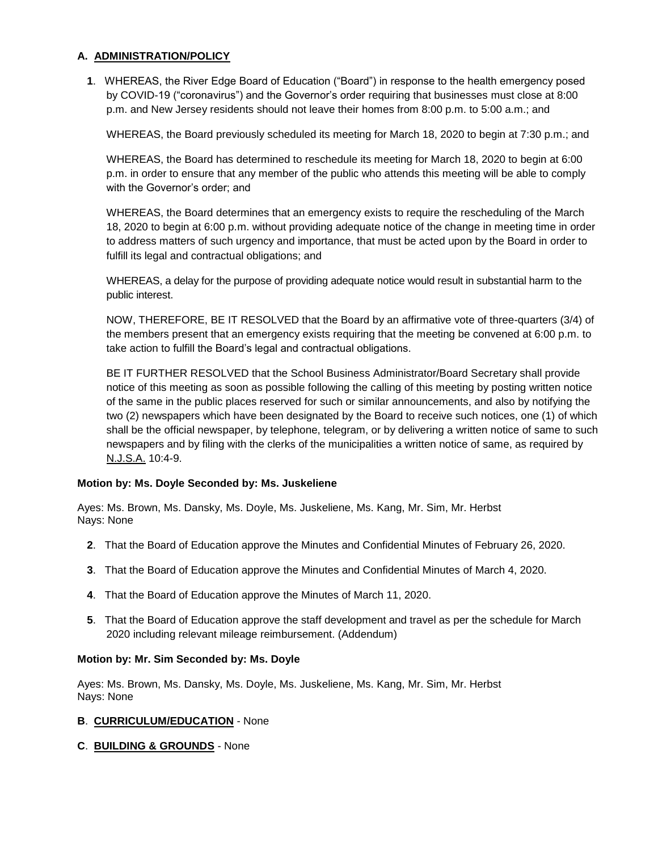# **A. ADMINISTRATION/POLICY**

**1**. WHEREAS, the River Edge Board of Education ("Board") in response to the health emergency posed by COVID-19 ("coronavirus") and the Governor's order requiring that businesses must close at 8:00 p.m. and New Jersey residents should not leave their homes from 8:00 p.m. to 5:00 a.m.; and

WHEREAS, the Board previously scheduled its meeting for March 18, 2020 to begin at 7:30 p.m.; and

WHEREAS, the Board has determined to reschedule its meeting for March 18, 2020 to begin at 6:00 p.m. in order to ensure that any member of the public who attends this meeting will be able to comply with the Governor's order; and

WHEREAS, the Board determines that an emergency exists to require the rescheduling of the March 18, 2020 to begin at 6:00 p.m. without providing adequate notice of the change in meeting time in order to address matters of such urgency and importance, that must be acted upon by the Board in order to fulfill its legal and contractual obligations; and

WHEREAS, a delay for the purpose of providing adequate notice would result in substantial harm to the public interest.

NOW, THEREFORE, BE IT RESOLVED that the Board by an affirmative vote of three-quarters (3/4) of the members present that an emergency exists requiring that the meeting be convened at 6:00 p.m. to take action to fulfill the Board's legal and contractual obligations.

BE IT FURTHER RESOLVED that the School Business Administrator/Board Secretary shall provide notice of this meeting as soon as possible following the calling of this meeting by posting written notice of the same in the public places reserved for such or similar announcements, and also by notifying the two (2) newspapers which have been designated by the Board to receive such notices, one (1) of which shall be the official newspaper, by telephone, telegram, or by delivering a written notice of same to such newspapers and by filing with the clerks of the municipalities a written notice of same, as required by N.J.S.A. 10:4-9.

# **Motion by: Ms. Doyle Seconded by: Ms. Juskeliene**

Ayes: Ms. Brown, Ms. Dansky, Ms. Doyle, Ms. Juskeliene, Ms. Kang, Mr. Sim, Mr. Herbst Nays: None

- **2**. That the Board of Education approve the Minutes and Confidential Minutes of February 26, 2020.
- **3**. That the Board of Education approve the Minutes and Confidential Minutes of March 4, 2020.
- **4**. That the Board of Education approve the Minutes of March 11, 2020.
- **5**. That the Board of Education approve the staff development and travel as per the schedule for March 2020 including relevant mileage reimbursement. (Addendum)

# **Motion by: Mr. Sim Seconded by: Ms. Doyle**

Ayes: Ms. Brown, Ms. Dansky, Ms. Doyle, Ms. Juskeliene, Ms. Kang, Mr. Sim, Mr. Herbst Nays: None

### **B**. **CURRICULUM/EDUCATION** - None

**C**. **BUILDING & GROUNDS** - None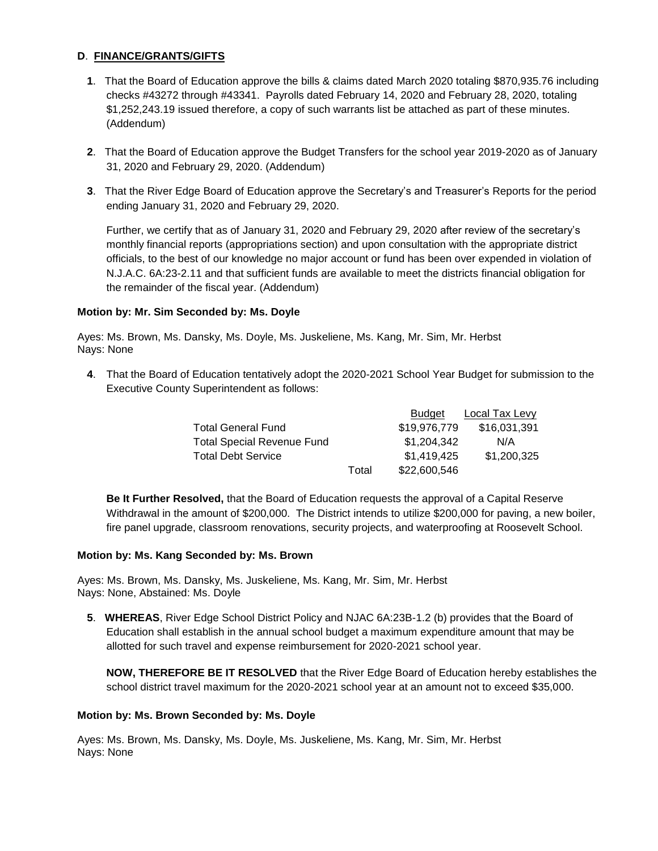# **D**. **FINANCE/GRANTS/GIFTS**

- **1**. That the Board of Education approve the bills & claims dated March 2020 totaling \$870,935.76 including checks #43272 through #43341. Payrolls dated February 14, 2020 and February 28, 2020, totaling \$1,252,243.19 issued therefore, a copy of such warrants list be attached as part of these minutes. (Addendum)
- **2**. That the Board of Education approve the Budget Transfers for the school year 2019-2020 as of January 31, 2020 and February 29, 2020. (Addendum)
- **3**. That the River Edge Board of Education approve the Secretary's and Treasurer's Reports for the period ending January 31, 2020 and February 29, 2020.

Further, we certify that as of January 31, 2020 and February 29, 2020 after review of the secretary's monthly financial reports (appropriations section) and upon consultation with the appropriate district officials, to the best of our knowledge no major account or fund has been over expended in violation of N.J.A.C. 6A:23-2.11 and that sufficient funds are available to meet the districts financial obligation for the remainder of the fiscal year. (Addendum)

# **Motion by: Mr. Sim Seconded by: Ms. Doyle**

Ayes: Ms. Brown, Ms. Dansky, Ms. Doyle, Ms. Juskeliene, Ms. Kang, Mr. Sim, Mr. Herbst Nays: None

**4**. That the Board of Education tentatively adopt the 2020-2021 School Year Budget for submission to the Executive County Superintendent as follows:

|                                   |       | <b>Budget</b> | <b>Local Tax Levy</b> |
|-----------------------------------|-------|---------------|-----------------------|
| <b>Total General Fund</b>         |       | \$19,976,779  | \$16,031,391          |
| <b>Total Special Revenue Fund</b> |       | \$1,204,342   | N/A                   |
| <b>Total Debt Service</b>         |       | \$1,419,425   | \$1,200,325           |
|                                   | Total | \$22,600,546  |                       |

**Be It Further Resolved,** that the Board of Education requests the approval of a Capital Reserve Withdrawal in the amount of \$200,000. The District intends to utilize \$200,000 for paving, a new boiler, fire panel upgrade, classroom renovations, security projects, and waterproofing at Roosevelt School.

### **Motion by: Ms. Kang Seconded by: Ms. Brown**

Ayes: Ms. Brown, Ms. Dansky, Ms. Juskeliene, Ms. Kang, Mr. Sim, Mr. Herbst Nays: None, Abstained: Ms. Doyle

**5**. **WHEREAS**, River Edge School District Policy and NJAC 6A:23B-1.2 (b) provides that the Board of Education shall establish in the annual school budget a maximum expenditure amount that may be allotted for such travel and expense reimbursement for 2020-2021 school year.

**NOW, THEREFORE BE IT RESOLVED** that the River Edge Board of Education hereby establishes the school district travel maximum for the 2020-2021 school year at an amount not to exceed \$35,000.

### **Motion by: Ms. Brown Seconded by: Ms. Doyle**

Ayes: Ms. Brown, Ms. Dansky, Ms. Doyle, Ms. Juskeliene, Ms. Kang, Mr. Sim, Mr. Herbst Nays: None